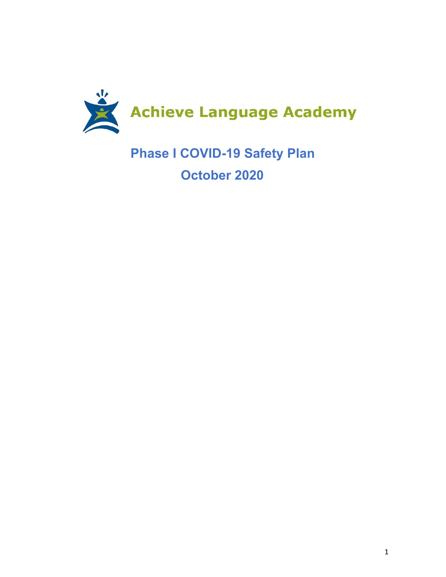

**Phase I COVID-19 Safety Plan October 2020**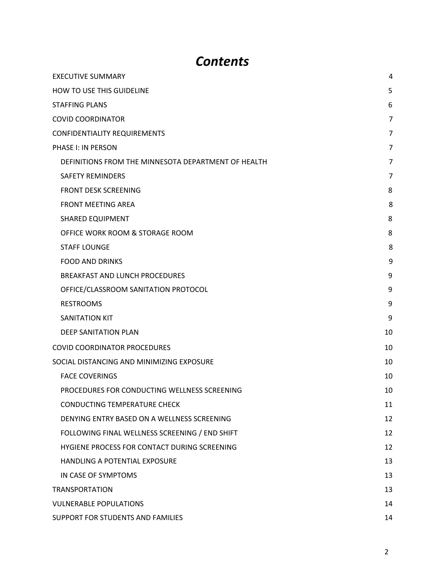# *Contents*

| <b>EXECUTIVE SUMMARY</b>                            | 4              |
|-----------------------------------------------------|----------------|
| HOW TO USE THIS GUIDELINE                           | 5              |
| <b>STAFFING PLANS</b>                               | 6              |
| <b>COVID COORDINATOR</b>                            | 7              |
| <b>CONFIDENTIALITY REQUIREMENTS</b>                 | $\overline{7}$ |
| PHASE I: IN PERSON                                  | 7              |
| DEFINITIONS FROM THE MINNESOTA DEPARTMENT OF HEALTH | 7              |
| <b>SAFETY REMINDERS</b>                             | 7              |
| <b>FRONT DESK SCREENING</b>                         | 8              |
| <b>FRONT MEETING AREA</b>                           | 8              |
| <b>SHARED EQUIPMENT</b>                             | 8              |
| OFFICE WORK ROOM & STORAGE ROOM                     | 8              |
| <b>STAFF LOUNGE</b>                                 | 8              |
| <b>FOOD AND DRINKS</b>                              | 9              |
| <b>BREAKFAST AND LUNCH PROCEDURES</b>               | 9              |
| OFFICE/CLASSROOM SANITATION PROTOCOL                | 9              |
| <b>RESTROOMS</b>                                    | 9              |
| <b>SANITATION KIT</b>                               | 9              |
| <b>DEEP SANITATION PLAN</b>                         | 10             |
| <b>COVID COORDINATOR PROCEDURES</b>                 | 10             |
| SOCIAL DISTANCING AND MINIMIZING EXPOSURE           | 10             |
| <b>FACE COVERINGS</b>                               | 10             |
| PROCEDURES FOR CONDUCTING WELLNESS SCREENING        | 10             |
| <b>CONDUCTING TEMPERATURE CHECK</b>                 | 11             |
| DENYING ENTRY BASED ON A WELLNESS SCREENING         | 12             |
| FOLLOWING FINAL WELLNESS SCREENING / END SHIFT      | 12             |
| HYGIENE PROCESS FOR CONTACT DURING SCREENING        | 12             |
| HANDLING A POTENTIAL EXPOSURE                       | 13             |
| IN CASE OF SYMPTOMS                                 | 13             |
| <b>TRANSPORTATION</b>                               | 13             |
| <b>VULNERABLE POPULATIONS</b>                       | 14             |
| SUPPORT FOR STUDENTS AND FAMILIES                   | 14             |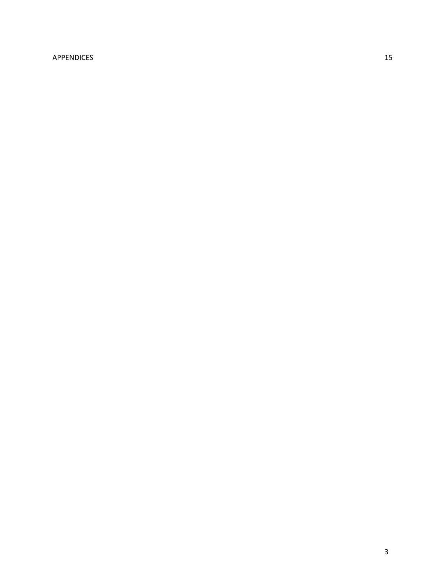# [APPENDICES](#page-14-0) [1](#page-14-0)5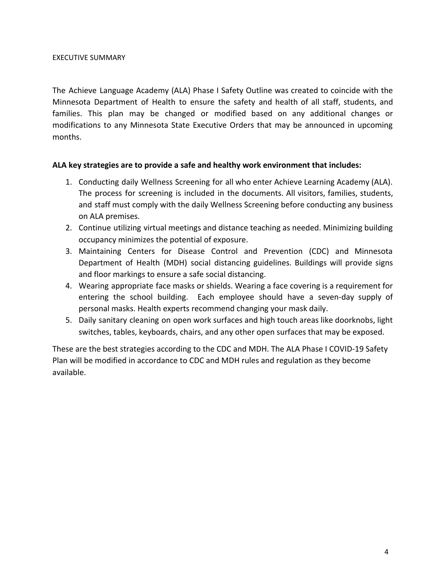The Achieve Language Academy (ALA) Phase I Safety Outline was created to coincide with the Minnesota Department of Health to ensure the safety and health of all staff, students, and families. This plan may be changed or modified based on any additional changes or modifications to any Minnesota State Executive Orders that may be announced in upcoming months.

#### **ALA key strategies are to provide a safe and healthy work environment that includes:**

- 1. Conducting daily Wellness Screening for all who enter Achieve Learning Academy (ALA). The process for screening is included in the documents. All visitors, families, students, and staff must comply with the daily Wellness Screening before conducting any business on ALA premises.
- 2. Continue utilizing virtual meetings and distance teaching as needed. Minimizing building occupancy minimizes the potential of exposure.
- 3. Maintaining Centers for Disease Control and Prevention (CDC) and Minnesota Department of Health (MDH) social distancing guidelines. Buildings will provide signs and floor markings to ensure a safe social distancing.
- 4. Wearing appropriate face masks or shields. Wearing a face covering is a requirement for entering the school building. Each employee should have a seven-day supply of personal masks. Health experts recommend changing your mask daily.
- 5. Daily sanitary cleaning on open work surfaces and high touch areas like doorknobs, light switches, tables, keyboards, chairs, and any other open surfaces that may be exposed.

<span id="page-3-0"></span>These are the best strategies according to the CDC and MDH. The ALA Phase I COVID-19 Safety Plan will be modified in accordance to CDC and MDH rules and regulation as they become available.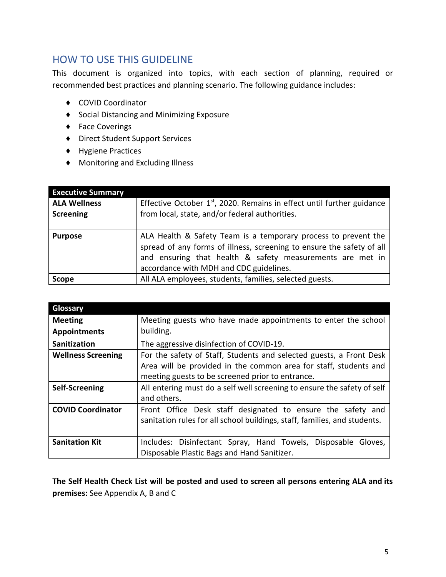# HOW TO USE THIS GUIDELINE

This document is organized into topics, with each section of planning, required or recommended best practices and planning scenario. The following guidance includes:

- ♦ COVID Coordinator
- ♦ Social Distancing and Minimizing Exposure
- ♦ Face Coverings
- ♦ Direct Student Support Services
- ♦ Hygiene Practices
- ♦ Monitoring and Excluding Illness

| <b>Executive Summary</b> |                                                                          |
|--------------------------|--------------------------------------------------------------------------|
| <b>ALA Wellness</b>      | Effective October $1st$ , 2020. Remains in effect until further guidance |
| <b>Screening</b>         | from local, state, and/or federal authorities.                           |
|                          |                                                                          |
| <b>Purpose</b>           | ALA Health & Safety Team is a temporary process to prevent the           |
|                          | spread of any forms of illness, screening to ensure the safety of all    |
|                          | and ensuring that health & safety measurements are met in                |
|                          | accordance with MDH and CDC guidelines.                                  |
| <b>Scope</b>             | All ALA employees, students, families, selected guests.                  |

| Glossary                  |                                                                                                                                          |
|---------------------------|------------------------------------------------------------------------------------------------------------------------------------------|
| <b>Meeting</b>            | Meeting guests who have made appointments to enter the school                                                                            |
| <b>Appointments</b>       | building.                                                                                                                                |
| <b>Sanitization</b>       | The aggressive disinfection of COVID-19.                                                                                                 |
| <b>Wellness Screening</b> | For the safety of Staff, Students and selected guests, a Front Desk                                                                      |
|                           | Area will be provided in the common area for staff, students and                                                                         |
|                           | meeting guests to be screened prior to entrance.                                                                                         |
| <b>Self-Screening</b>     | All entering must do a self well screening to ensure the safety of self<br>and others.                                                   |
| <b>COVID Coordinator</b>  | Front Office Desk staff designated to ensure the safety and<br>sanitation rules for all school buildings, staff, families, and students. |
| <b>Sanitation Kit</b>     | Includes: Disinfectant Spray, Hand Towels, Disposable<br>Gloves,                                                                         |
|                           | Disposable Plastic Bags and Hand Sanitizer.                                                                                              |

**The Self Health Check List will be posted and used to screen all persons entering ALA and its premises:** See Appendix A, B and C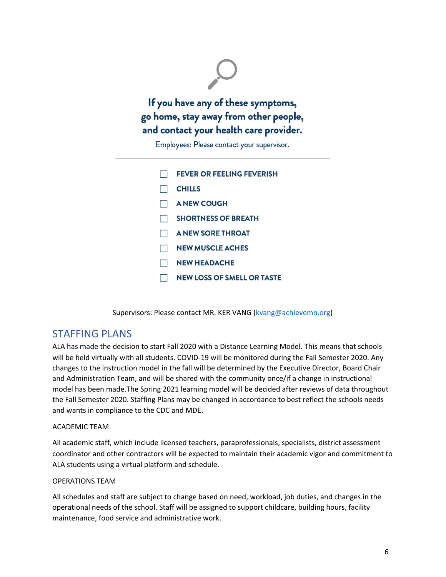

Employees: Please contact your supervisor.

| <b>FEVER OR FEELING FEVERISH</b>  |
|-----------------------------------|
| <b>CHILLS</b>                     |
| <b>A NEW COUGH</b>                |
| <b>SHORTNESS OF BREATH</b>        |
| <b>A NEW SORE THROAT</b>          |
| <b>NEW MUSCLE ACHES</b>           |
| <b>NEW HEADACHE</b>               |
| <b>NEW LOSS OF SMELL OR TASTE</b> |

Supervisors: Please contact MR. KER VANG [\(kvang@achievemn.org\)](mailto:kvang@achievemn.org)

# <span id="page-5-0"></span>STAFFING PLANS

ALA has made the decision to start Fall 2020 with a Distance Learning Model. This means that schools will be held virtually with all students. COVID-19 will be monitored during the Fall Semester 2020. Any changes to the instruction model in the fall will be determined by the Executive Director, Board Chair and Administration Team, and will be shared with the community once/if a change in instructional model has been made.The Spring 2021 learning model will be decided after reviews of data throughout the Fall Semester 2020. Staffing Plans may be changed in accordance to best reflect the schools needs and wants in compliance to the CDC and MDE.

#### ACADEMIC TEAM

All academic staff, which include licensed teachers, paraprofessionals, specialists, district assessment coordinator and other contractors will be expected to maintain their academic vigor and commitment to ALA students using a virtual platform and schedule.

#### OPERATIONS TEAM

All schedules and staff are subject to change based on need, workload, job duties, and changes in the operational needs of the school. Staff will be assigned to support childcare, building hours, facility maintenance, food service and administrative work.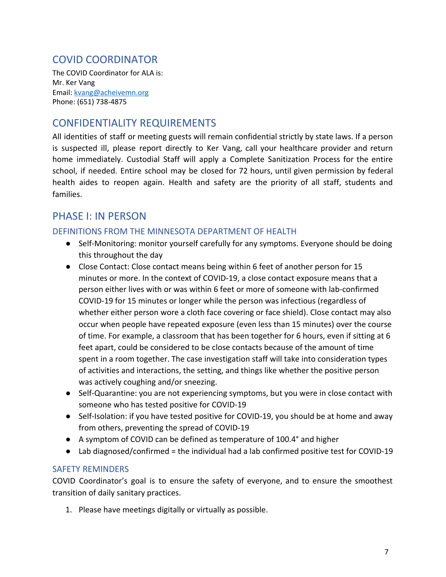# <span id="page-6-0"></span>COVID COORDINATOR

The COVID Coordinator for ALA is: Mr. Ker Vang Email: [kvang@acheivemn.org](mailto:kvang@acheivemn.org) Phone: (651) 738-4875

# <span id="page-6-1"></span>CONFIDENTIALITY REQUIREMENTS

All identities of staff or meeting guests will remain confidential strictly by state laws. If a person is suspected ill, please report directly to Ker Vang, call your healthcare provider and return home immediately. Custodial Staff will apply a Complete Sanitization Process for the entire school, if needed. Entire school may be closed for 72 hours, until given permission by federal health aides to reopen again. Health and safety are the priority of all staff, students and families.

# <span id="page-6-2"></span>PHASE I: IN PERSON

# <span id="page-6-3"></span>DEFINITIONS FROM THE MINNESOTA DEPARTMENT OF HEALTH

- Self-Monitoring: monitor yourself carefully for any symptoms. Everyone should be doing this throughout the day
- Close Contact: Close contact means being within 6 feet of another person for 15 minutes or more. In the context of COVID-19, a close contact exposure means that a person either lives with or was within 6 feet or more of someone with lab-confirmed COVID-19 for 15 minutes or longer while the person was infectious (regardless of whether either person wore a cloth face covering or face shield). Close contact may also occur when people have repeated exposure (even less than 15 minutes) over the course of time. For example, a classroom that has been together for 6 hours, even if sitting at 6 feet apart, could be considered to be close contacts because of the amount of time spent in a room together. The case investigation staff will take into consideration types of activities and interactions, the setting, and things like whether the positive person was actively coughing and/or sneezing.
- Self-Quarantine: you are not experiencing symptoms, but you were in close contact with someone who has tested positive for COVID-19
- Self-Isolation: if you have tested positive for COVID-19, you should be at home and away from others, preventing the spread of COVID-19
- A symptom of COVID can be defined as temperature of 100.4° and higher
- $\bullet$  Lab diagnosed/confirmed = the individual had a lab confirmed positive test for COVID-19

## <span id="page-6-4"></span>SAFETY REMINDERS

COVID Coordinator's goal is to ensure the safety of everyone, and to ensure the smoothest transition of daily sanitary practices.

1. Please have meetings digitally or virtually as possible.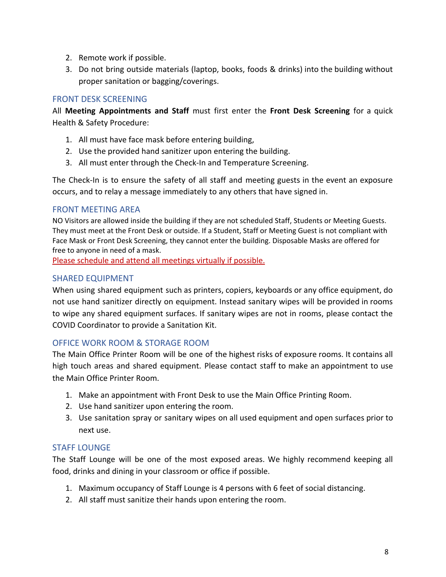- 2. Remote work if possible.
- 3. Do not bring outside materials (laptop, books, foods & drinks) into the building without proper sanitation or bagging/coverings.

# <span id="page-7-0"></span>FRONT DESK SCREENING

All **Meeting Appointments and Staff** must first enter the **Front Desk Screening** for a quick Health & Safety Procedure:

- 1. All must have face mask before entering building,
- 2. Use the provided hand sanitizer upon entering the building.
- 3. All must enter through the Check-In and Temperature Screening.

The Check-In is to ensure the safety of all staff and meeting guests in the event an exposure occurs, and to relay a message immediately to any others that have signed in.

## <span id="page-7-1"></span>FRONT MEETING AREA

NO Visitors are allowed inside the building if they are not scheduled Staff, Students or Meeting Guests. They must meet at the Front Desk or outside. If a Student, Staff or Meeting Guest is not compliant with Face Mask or Front Desk Screening, they cannot enter the building. Disposable Masks are offered for free to anyone in need of a mask.

Please schedule and attend all meetings virtually if possible.

## <span id="page-7-2"></span>SHARED EQUIPMENT

When using shared equipment such as printers, copiers, keyboards or any office equipment, do not use hand sanitizer directly on equipment. Instead sanitary wipes will be provided in rooms to wipe any shared equipment surfaces. If sanitary wipes are not in rooms, please contact the COVID Coordinator to provide a Sanitation Kit.

## <span id="page-7-3"></span>OFFICE WORK ROOM & STORAGE ROOM

The Main Office Printer Room will be one of the highest risks of exposure rooms. It contains all high touch areas and shared equipment. Please contact staff to make an appointment to use the Main Office Printer Room.

- 1. Make an appointment with Front Desk to use the Main Office Printing Room.
- 2. Use hand sanitizer upon entering the room.
- 3. Use sanitation spray or sanitary wipes on all used equipment and open surfaces prior to next use.

## STAFF LOUNGE

The Staff Lounge will be one of the most exposed areas. We highly recommend keeping all food, drinks and dining in your classroom or office if possible.

- 1. Maximum occupancy of Staff Lounge is 4 persons with 6 feet of social distancing.
- 2. All staff must sanitize their hands upon entering the room.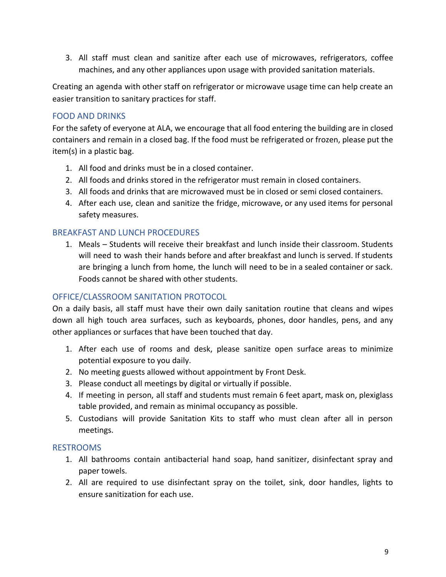3. All staff must clean and sanitize after each use of microwaves, refrigerators, coffee machines, and any other appliances upon usage with provided sanitation materials.

Creating an agenda with other staff on refrigerator or microwave usage time can help create an easier transition to sanitary practices for staff.

# <span id="page-8-0"></span>FOOD AND DRINKS

For the safety of everyone at ALA, we encourage that all food entering the building are in closed containers and remain in a closed bag. If the food must be refrigerated or frozen, please put the item(s) in a plastic bag.

- 1. All food and drinks must be in a closed container.
- 2. All foods and drinks stored in the refrigerator must remain in closed containers.
- 3. All foods and drinks that are microwaved must be in closed or semi closed containers.
- 4. After each use, clean and sanitize the fridge, microwave, or any used items for personal safety measures.

## <span id="page-8-1"></span>BREAKFAST AND LUNCH PROCEDURES

1. Meals – Students will receive their breakfast and lunch inside their classroom. Students will need to wash their hands before and after breakfast and lunch is served. If students are bringing a lunch from home, the lunch will need to be in a sealed container or sack. Foods cannot be shared with other students.

## <span id="page-8-2"></span>OFFICE/CLASSROOM SANITATION PROTOCOL

On a daily basis, all staff must have their own daily sanitation routine that cleans and wipes down all high touch area surfaces, such as keyboards, phones, door handles, pens, and any other appliances or surfaces that have been touched that day.

- 1. After each use of rooms and desk, please sanitize open surface areas to minimize potential exposure to you daily.
- 2. No meeting guests allowed without appointment by Front Desk.
- 3. Please conduct all meetings by digital or virtually if possible.
- 4. If meeting in person, all staff and students must remain 6 feet apart, mask on, plexiglass table provided, and remain as minimal occupancy as possible.
- 5. Custodians will provide Sanitation Kits to staff who must clean after all in person meetings.

#### <span id="page-8-3"></span>RESTROOMS

- 1. All bathrooms contain antibacterial hand soap, hand sanitizer, disinfectant spray and paper towels.
- 2. All are required to use disinfectant spray on the toilet, sink, door handles, lights to ensure sanitization for each use.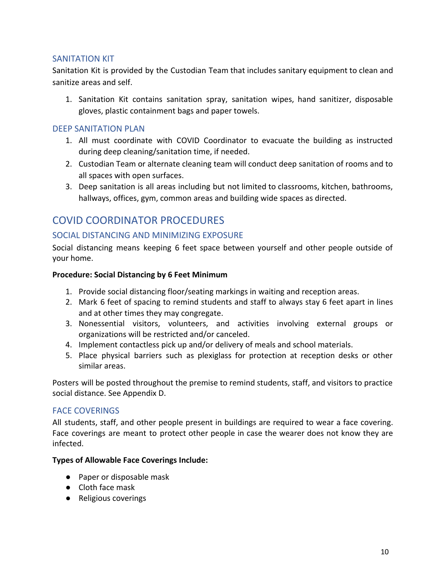# <span id="page-9-0"></span>SANITATION KIT

Sanitation Kit is provided by the Custodian Team that includes sanitary equipment to clean and sanitize areas and self.

1. Sanitation Kit contains sanitation spray, sanitation wipes, hand sanitizer, disposable gloves, plastic containment bags and paper towels.

#### <span id="page-9-1"></span>DEEP SANITATION PLAN

- 1. All must coordinate with COVID Coordinator to evacuate the building as instructed during deep cleaning/sanitation time, if needed.
- 2. Custodian Team or alternate cleaning team will conduct deep sanitation of rooms and to all spaces with open surfaces.
- 3. Deep sanitation is all areas including but not limited to classrooms, kitchen, bathrooms, hallways, offices, gym, common areas and building wide spaces as directed.

# <span id="page-9-2"></span>COVID COORDINATOR PROCEDURES

# <span id="page-9-3"></span>SOCIAL DISTANCING AND MINIMIZING EXPOSURE

Social distancing means keeping 6 feet space between yourself and other people outside of your home.

#### **Procedure: Social Distancing by 6 Feet Minimum**

- 1. Provide social distancing floor/seating markings in waiting and reception areas.
- 2. Mark 6 feet of spacing to remind students and staff to always stay 6 feet apart in lines and at other times they may congregate.
- 3. Nonessential visitors, volunteers, and activities involving external groups or organizations will be restricted and/or canceled.
- 4. Implement contactless pick up and/or delivery of meals and school materials.
- 5. Place physical barriers such as plexiglass for protection at reception desks or other similar areas.

Posters will be posted throughout the premise to remind students, staff, and visitors to practice social distance. See Appendix D.

## <span id="page-9-4"></span>FACE COVERINGS

All students, staff, and other people present in buildings are required to wear a face covering. Face coverings are meant to protect other people in case the wearer does not know they are infected.

#### **Types of Allowable Face Coverings Include:**

- Paper or disposable mask
- Cloth face mask
- Religious coverings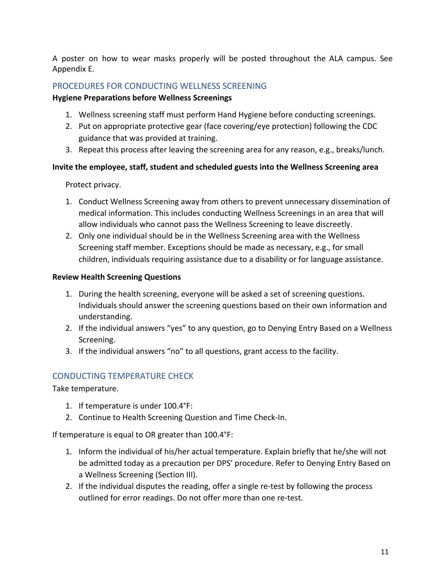A poster on how to wear masks properly will be posted throughout the ALA campus. See Appendix E.

# <span id="page-10-0"></span>PROCEDURES FOR CONDUCTING WELLNESS SCREENING

## **Hygiene Preparations before Wellness Screenings**

- 1. Wellness screening staff must perform Hand Hygiene before conducting screenings.
- 2. Put on appropriate protective gear (face covering/eye protection) following the CDC guidance that was provided at training.
- 3. Repeat this process after leaving the screening area for any reason, e.g., breaks/lunch.

# **Invite the employee, staff, student and scheduled guests into the Wellness Screening area**

# Protect privacy.

- 1. Conduct Wellness Screening away from others to prevent unnecessary dissemination of medical information. This includes conducting Wellness Screenings in an area that will allow individuals who cannot pass the Wellness Screening to leave discreetly.
- 2. Only one individual should be in the Wellness Screening area with the Wellness Screening staff member. Exceptions should be made as necessary, e.g., for small children, individuals requiring assistance due to a disability or for language assistance.

# **Review Health Screening Questions**

- 1. During the health screening, everyone will be asked a set of screening questions. Individuals should answer the screening questions based on their own information and understanding.
- 2. If the individual answers "yes" to any question, go to Denying Entry Based on a Wellness Screening.
- 3. If the individual answers "no" to all questions, grant access to the facility.

# <span id="page-10-1"></span>CONDUCTING TEMPERATURE CHECK

Take temperature.

- 1. If temperature is under 100.4°F:
- 2. Continue to Health Screening Question and Time Check-In.

If temperature is equal to OR greater than 100.4°F:

- 1. Inform the individual of his/her actual temperature. Explain briefly that he/she will not be admitted today as a precaution per DPS' procedure. Refer to Denying Entry Based on a Wellness Screening (Section III).
- 2. If the individual disputes the reading, offer a single re-test by following the process outlined for error readings. Do not offer more than one re-test.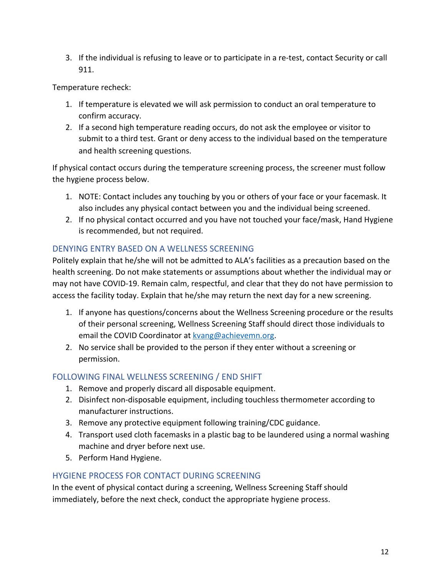3. If the individual is refusing to leave or to participate in a re-test, contact Security or call 911.

Temperature recheck:

- 1. If temperature is elevated we will ask permission to conduct an oral temperature to confirm accuracy.
- 2. If a second high temperature reading occurs, do not ask the employee or visitor to submit to a third test. Grant or deny access to the individual based on the temperature and health screening questions.

If physical contact occurs during the temperature screening process, the screener must follow the hygiene process below.

- 1. NOTE: Contact includes any touching by you or others of your face or your facemask. It also includes any physical contact between you and the individual being screened.
- 2. If no physical contact occurred and you have not touched your face/mask, Hand Hygiene is recommended, but not required.

# <span id="page-11-0"></span>DENYING ENTRY BASED ON A WELLNESS SCREENING

Politely explain that he/she will not be admitted to ALA's facilities as a precaution based on the health screening. Do not make statements or assumptions about whether the individual may or may not have COVID-19. Remain calm, respectful, and clear that they do not have permission to access the facility today. Explain that he/she may return the next day for a new screening.

- 1. If anyone has questions/concerns about the Wellness Screening procedure or the results of their personal screening, Wellness Screening Staff should direct those individuals to email the COVID Coordinator at **[kvang@achievemn.org](mailto:kvang@achievemn.org)**.
- 2. No service shall be provided to the person if they enter without a screening or permission.

# <span id="page-11-1"></span>FOLLOWING FINAL WELLNESS SCREENING / END SHIFT

- 1. Remove and properly discard all disposable equipment.
- 2. Disinfect non-disposable equipment, including touchless thermometer according to manufacturer instructions.
- 3. Remove any protective equipment following training/CDC guidance.
- 4. Transport used cloth facemasks in a plastic bag to be laundered using a normal washing machine and dryer before next use.
- 5. Perform Hand Hygiene.

# <span id="page-11-2"></span>HYGIENE PROCESS FOR CONTACT DURING SCREENING

In the event of physical contact during a screening, Wellness Screening Staff should immediately, before the next check, conduct the appropriate hygiene process.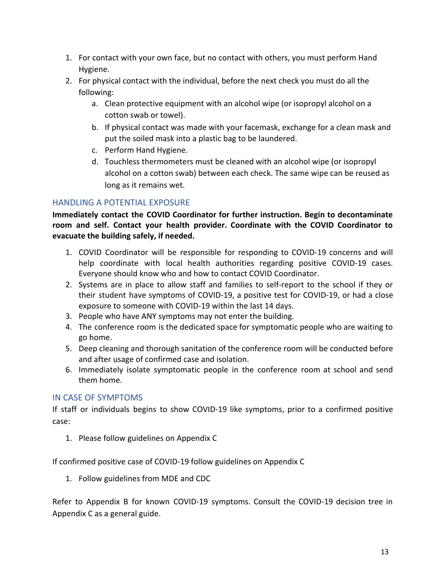- 1. For contact with your own face, but no contact with others, you must perform Hand Hygiene.
- 2. For physical contact with the individual, before the next check you must do all the following:
	- a. Clean protective equipment with an alcohol wipe (or isopropyl alcohol on a cotton swab or towel).
	- b. If physical contact was made with your facemask, exchange for a clean mask and put the soiled mask into a plastic bag to be laundered.
	- c. Perform Hand Hygiene.
	- d. Touchless thermometers must be cleaned with an alcohol wipe (or isopropyl alcohol on a cotton swab) between each check. The same wipe can be reused as long as it remains wet.

# <span id="page-12-0"></span>HANDLING A POTENTIAL EXPOSURE

**Immediately contact the COVID Coordinator for further instruction. Begin to decontaminate room and self. Contact your health provider. Coordinate with the COVID Coordinator to evacuate the building safely, if needed.**

- 1. COVID Coordinator will be responsible for responding to COVID-19 concerns and will help coordinate with local health authorities regarding positive COVID-19 cases. Everyone should know who and how to contact COVID Coordinator.
- 2. Systems are in place to allow staff and families to self-report to the school if they or their student have symptoms of COVID-19, a positive test for COVID-19, or had a close exposure to someone with COVID-19 within the last 14 days.
- 3. People who have ANY symptoms may not enter the building.
- 4. The conference room is the dedicated space for symptomatic people who are waiting to go home.
- 5. Deep cleaning and thorough sanitation of the conference room will be conducted before and after usage of confirmed case and isolation.
- 6. Immediately isolate symptomatic people in the conference room at school and send them home.

# <span id="page-12-1"></span>IN CASE OF SYMPTOMS

If staff or individuals begins to show COVID-19 like symptoms, prior to a confirmed positive case:

1. Please follow guidelines on Appendix C

If confirmed positive case of COVID-19 follow guidelines on Appendix C

1. Follow guidelines from MDE and CDC

Refer to Appendix B for known COVID-19 symptoms. Consult the COVID-19 decision tree in Appendix C as a general guide.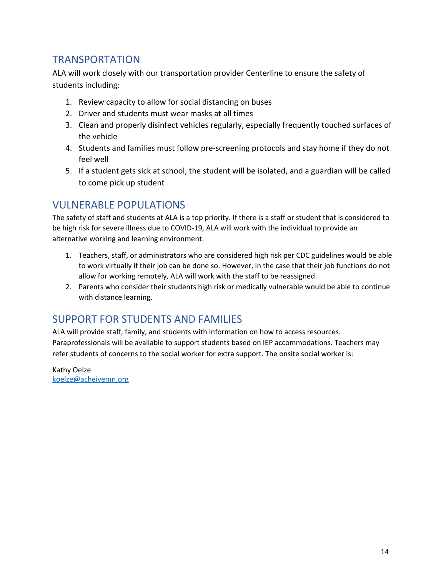# <span id="page-13-0"></span>TRANSPORTATION

ALA will work closely with our transportation provider Centerline to ensure the safety of students including:

- 1. Review capacity to allow for social distancing on buses
- 2. Driver and students must wear masks at all times
- 3. Clean and properly disinfect vehicles regularly, especially frequently touched surfaces of the vehicle
- 4. Students and families must follow pre-screening protocols and stay home if they do not feel well
- 5. If a student gets sick at school, the student will be isolated, and a guardian will be called to come pick up student

# <span id="page-13-1"></span>VULNERABLE POPULATIONS

The safety of staff and students at ALA is a top priority. If there is a staff or student that is considered to be high risk for severe illness due to COVID-19, ALA will work with the individual to provide an alternative working and learning environment.

- 1. Teachers, staff, or administrators who are considered high risk per CDC guidelines would be able to work virtually if their job can be done so. However, in the case that their job functions do not allow for working remotely, ALA will work with the staff to be reassigned.
- 2. Parents who consider their students high risk or medically vulnerable would be able to continue with distance learning.

# <span id="page-13-2"></span>SUPPORT FOR STUDENTS AND FAMILIES

ALA will provide staff, family, and students with information on how to access resources. Paraprofessionals will be available to support students based on IEP accommodations. Teachers may refer students of concerns to the social worker for extra support. The onsite social worker is:

Kathy Oelze [koelze@acheivemn.org](mailto:koelze@acheivemn.org)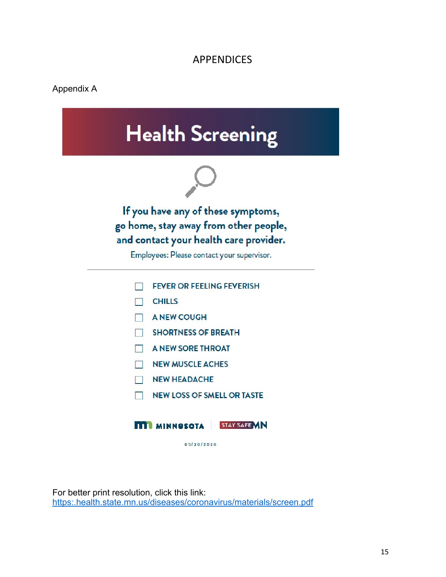# APPENDICES

#### <span id="page-14-0"></span>Appendix A



For better print resolution, click this link: [https:.health.state.mn.us/diseases/coronavirus/materials/screen.pdf](https://www.health.state.mn.us/diseases/coronavirus/materials/screen.pdf)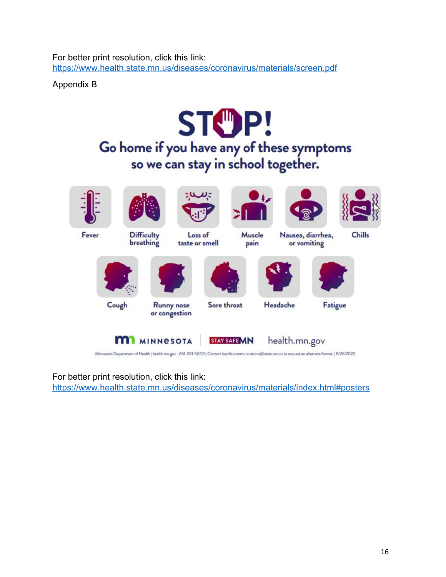For better print resolution, click this link: <https://www.health.state.mn.us/diseases/coronavirus/materials/screen.pdf>

Appendix B



For better print resolution, click this link: <https://www.health.state.mn.us/diseases/coronavirus/materials/index.html#posters>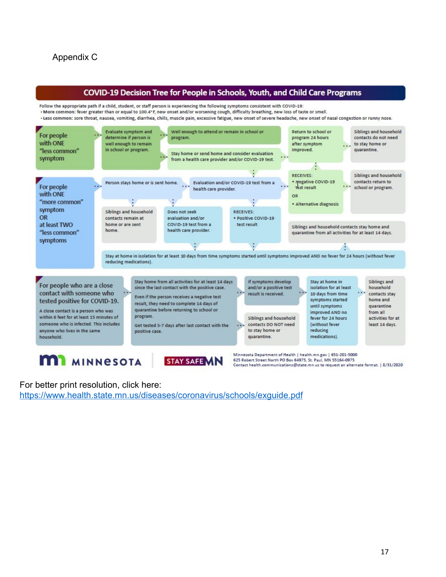

#### For better print resolution, click here: <https://www.health.state.mn.us/diseases/coronavirus/schools/exguide.pdf>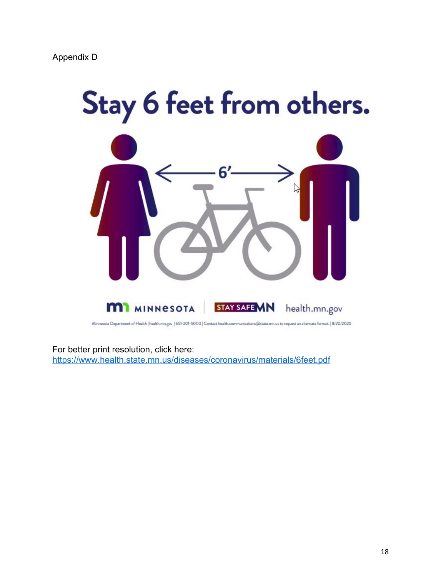

Minnesota Department of Health | health.mn.gov | 651-201-5000 | Contact health.communications(@state.mn.us to request an alternate format. | 8/20/2020

For better print resolution, click here:

<https://www.health.state.mn.us/diseases/coronavirus/materials/6feet.pdf>